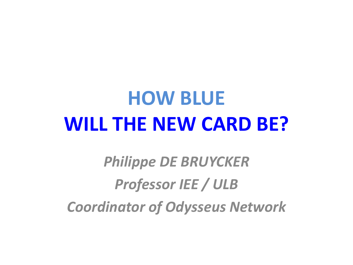### **HOW BLUE WILL THE NEW CARD BE?**

*Philippe DE BRUYCKER Professor IEE / ULB Coordinator of Odysseus Network*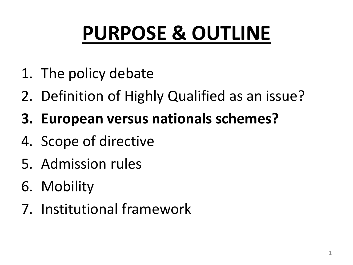# **PURPOSE & OUTLINE**

- 1. The policy debate
- 2. Definition of Highly Qualified as an issue?
- **3. European versus nationals schemes?**
- 4. Scope of directive
- 5. Admission rules
- 6. Mobility
- 7. Institutional framework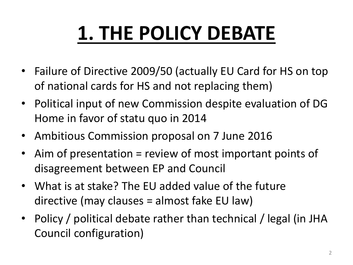# **1. THE POLICY DEBATE**

- Failure of Directive 2009/50 (actually EU Card for HS on top of national cards for HS and not replacing them)
- Political input of new Commission despite evaluation of DG Home in favor of statu quo in 2014
- Ambitious Commission proposal on 7 June 2016
- Aim of presentation = review of most important points of disagreement between EP and Council
- What is at stake? The EU added value of the future directive (may clauses = almost fake EU law)
- Policy / political debate rather than technical / legal (in JHA Council configuration)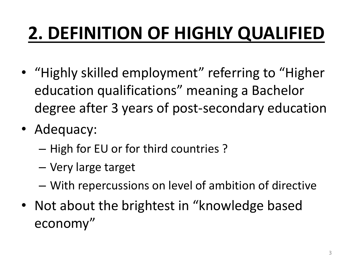### **2. DEFINITION OF HIGHLY QUALIFIED**

- "Highly skilled employment" referring to "Higher education qualifications" meaning a Bachelor degree after 3 years of post-secondary education
- Adequacy:
	- High for EU or for third countries ?
	- Very large target
	- With repercussions on level of ambition of directive
- Not about the brightest in "knowledge based economy"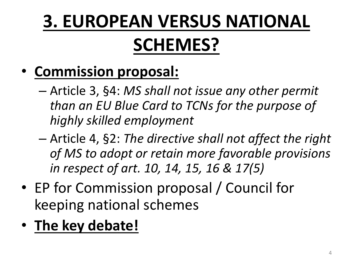#### **3. EUROPEAN VERSUS NATIONAL SCHEMES?**

#### • **Commission proposal:**

- Article 3, §4: *MS shall not issue any other permit than an EU Blue Card to TCNs for the purpose of highly skilled employment*
- Article 4, §2: *The directive shall not affect the right of MS to adopt or retain more favorable provisions in respect of art. 10, 14, 15, 16 & 17(5)*
- EP for Commission proposal / Council for keeping national schemes
- **The key debate!**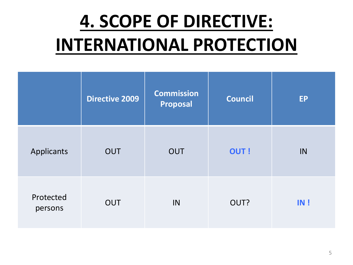#### **4. SCOPE OF DIRECTIVE: INTERNATIONAL PROTECTION**

|                      | <b>Directive 2009</b> | <b>Commission</b><br>Proposal | <b>Council</b> | <b>EP</b> |
|----------------------|-----------------------|-------------------------------|----------------|-----------|
| Applicants           | <b>OUT</b>            | <b>OUT</b>                    | <b>OUT!</b>    | IN        |
| Protected<br>persons | <b>OUT</b>            | IN                            | OUT?           | IN!       |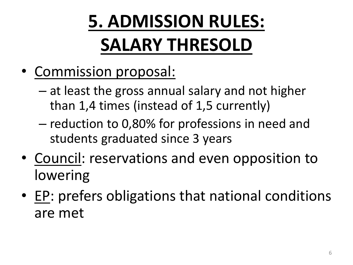## **5. ADMISSION RULES: SALARY THRESOLD**

- Commission proposal:
	- at least the gross annual salary and not higher than 1,4 times (instead of 1,5 currently)
	- reduction to 0,80% for professions in need and students graduated since 3 years
- Council: reservations and even opposition to lowering
- EP: prefers obligations that national conditions are met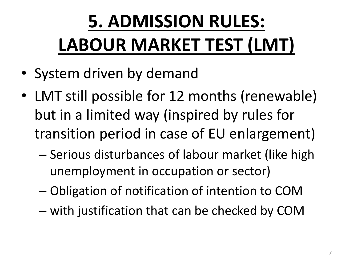## **5. ADMISSION RULES: LABOUR MARKET TEST (LMT)**

- System driven by demand
- LMT still possible for 12 months (renewable) but in a limited way (inspired by rules for transition period in case of EU enlargement)
	- Serious disturbances of labour market (like high unemployment in occupation or sector)
	- Obligation of notification of intention to COM
	- with justification that can be checked by COM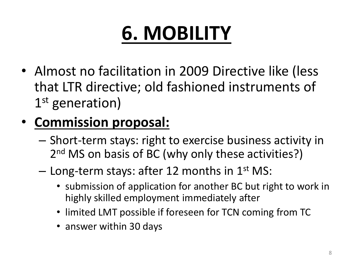• Almost no facilitation in 2009 Directive like (less that LTR directive; old fashioned instruments of 1st generation)

#### • **Commission proposal:**

- Short-term stays: right to exercise business activity in 2<sup>nd</sup> MS on basis of BC (why only these activities?)
- $-$  Long-term stays: after 12 months in 1<sup>st</sup> MS:
	- submission of application for another BC but right to work in highly skilled employment immediately after
	- limited LMT possible if foreseen for TCN coming from TC
	- answer within 30 days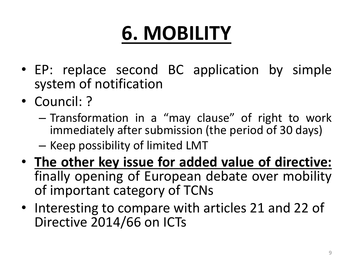- EP: replace second BC application by simple system of notification
- Council: ?
	- Transformation in a "may clause" of right to work immediately after submission (the period of 30 days)
	- Keep possibility of limited LMT
- **The other key issue for added value of directive:** finally opening of European debate over mobility of important category of TCNs
- Interesting to compare with articles 21 and 22 of Directive 2014/66 on ICTs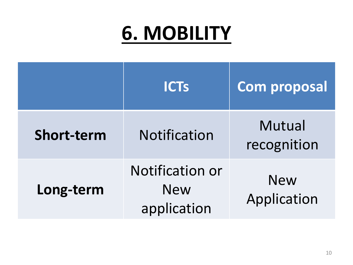|                   | <b>ICTs</b>                                         | <b>Com proposal</b>       |
|-------------------|-----------------------------------------------------|---------------------------|
| <b>Short-term</b> | <b>Notification</b>                                 | Mutual<br>recognition     |
| Long-term         | <b>Notification or</b><br><b>New</b><br>application | <b>New</b><br>Application |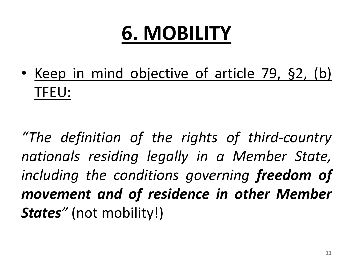• Keep in mind objective of article 79, §2, (b) TFEU:

*"The definition of the rights of third-country nationals residing legally in a Member State, including the conditions governing freedom of movement and of residence in other Member States"* (not mobility!)